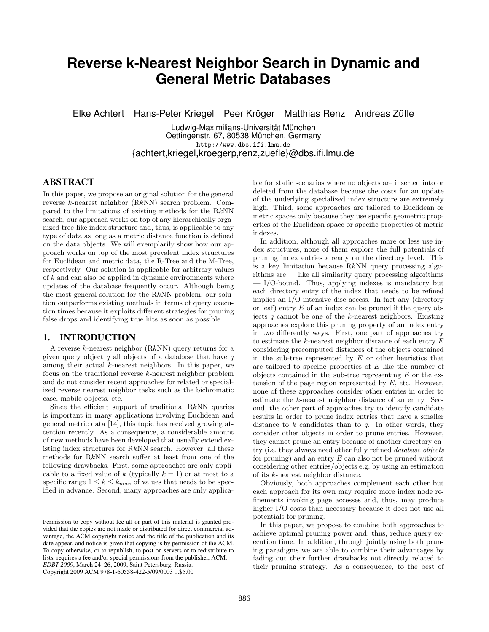# **Reverse k-Nearest Neighbor Search in Dynamic and General Metric Databases**

Elke Achtert Hans-Peter Kriegel Peer Kröger Matthias Renz Andreas Züfle

Ludwig-Maximilians-Universität München Oettingenstr. 67, 80538 München, Germany http://www.dbs.ifi.lmu.de {achtert,kriegel,kroegerp,renz,zuefle}@dbs.ifi.lmu.de

# ABSTRACT

In this paper, we propose an original solution for the general reverse k-nearest neighbor (RkNN) search problem. Compared to the limitations of existing methods for the RkNN search, our approach works on top of any hierarchically organized tree-like index structure and, thus, is applicable to any type of data as long as a metric distance function is defined on the data objects. We will exemplarily show how our approach works on top of the most prevalent index structures for Euclidean and metric data, the R-Tree and the M-Tree, respectively. Our solution is applicable for arbitrary values of k and can also be applied in dynamic environments where updates of the database frequently occur. Although being the most general solution for the RkNN problem, our solution outperforms existing methods in terms of query execution times because it exploits different strategies for pruning false drops and identifying true hits as soon as possible.

# 1. INTRODUCTION

A reverse k-nearest neighbor (RkNN) query returns for a given query object q all objects of a database that have  $q$ among their actual  $k$ -nearest neighbors. In this paper, we focus on the traditional reverse k-nearest neighbor problem and do not consider recent approaches for related or specialized reverse nearest neighbor tasks such as the bichromatic case, mobile objects, etc.

Since the efficient support of traditional RkNN queries is important in many applications involving Euclidean and general metric data [14], this topic has received growing attention recently. As a consequence, a considerable amount of new methods have been developed that usually extend existing index structures for RkNN search. However, all these methods for RkNN search suffer at least from one of the following drawbacks. First, some approaches are only applicable to a fixed value of k (typically  $k = 1$ ) or at most to a specific range  $1 \leq k \leq k_{max}$  of values that needs to be specified in advance. Second, many approaches are only applicable for static scenarios where no objects are inserted into or deleted from the database because the costs for an update of the underlying specialized index structure are extremely high. Third, some approaches are tailored to Euclidean or metric spaces only because they use specific geometric properties of the Euclidean space or specific properties of metric indexes.

In addition, although all approaches more or less use index structures, none of them explore the full potentials of pruning index entries already on the directory level. This is a key limitation because RkNN query processing algorithms are — like all similarity query processing algorithms — I/O-bound. Thus, applying indexes is mandatory but each directory entry of the index that needs to be refined implies an I/O-intensive disc access. In fact any (directory or leaf) entry E of an index can be pruned if the query objects  $q$  cannot be one of the  $k$ -nearest neighbors. Existing approaches explore this pruning property of an index entry in two differently ways. First, one part of approaches try to estimate the  $k$ -nearest neighbor distance of each entry  $E$ considering precomputed distances of the objects contained in the sub-tree represented by  $E$  or other heuristics that are tailored to specific properties of E like the number of objects contained in the sub-tree representing  $E$  or the extension of the page region represented by  $E$ , etc. However, none of these approaches consider other entries in order to estimate the k-nearest neighbor distance of an entry. Second, the other part of approaches try to identify candidate results in order to prune index entries that have a smaller distance to  $k$  candidates than to  $q$ . In other words, they consider other objects in order to prune entries. However, they cannot prune an entry because of another directory entry (i.e. they always need other fully refined database objects for pruning) and an entry  $E$  can also not be pruned without considering other entries/objects e.g. by using an estimation of its k-nearest neighbor distance.

Obviously, both approaches complement each other but each approach for its own may require more index node refinements invoking page accesses and, thus, may produce higher I/O costs than necessary because it does not use all potentials for pruning.

In this paper, we propose to combine both approaches to achieve optimal pruning power and, thus, reduce query execution time. In addition, through jointly using both pruning paradigms we are able to combine their advantages by fading out their further drawbacks not directly related to their pruning strategy. As a consequence, to the best of

Permission to copy without fee all or part of this material is granted provided that the copies are not made or distributed for direct commercial advantage, the ACM copyright notice and the title of the publication and its date appear, and notice is given that copying is by permission of the ACM. To copy otherwise, or to republish, to post on servers or to redistribute to lists, requires a fee and/or special permissions from the publisher, ACM. *EDBT 2009*, March 24–26, 2009, Saint Petersburg, Russia. Copyright 2009 ACM 978-1-60558-422-5/09/0003 ...\$5.00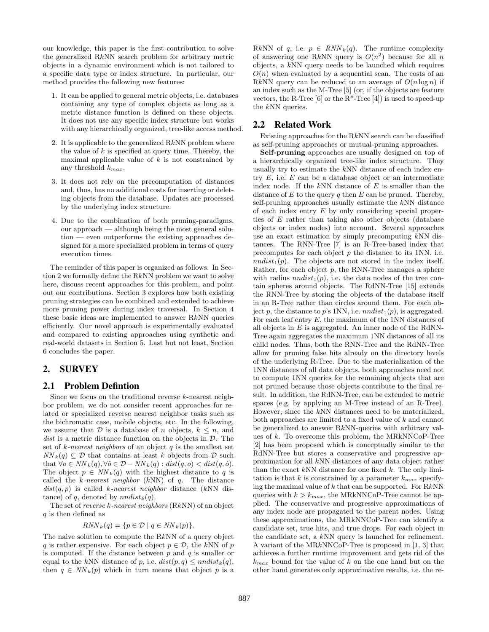our knowledge, this paper is the first contribution to solve the generalized RkNN search problem for arbitrary metric objects in a dynamic environment which is not tailored to a specific data type or index structure. In particular, our method provides the following new features:

- 1. It can be applied to general metric objects, i.e. databases containing any type of complex objects as long as a metric distance function is defined on these objects. It does not use any specific index structure but works with any hierarchically organized, tree-like access method.
- 2. It is applicable to the generalized  $RkNN$  problem where the value of  $k$  is specified at query time. Thereby, the maximal applicable value of  $k$  is not constrained by any threshold  $k_{max}$ .
- 3. It does not rely on the precomputation of distances and, thus, has no additional costs for inserting or deleting objects from the database. Updates are processed by the underlying index structure.
- 4. Due to the combination of both pruning-paradigms, our approach — although being the most general solution — even outperforms the existing approaches designed for a more specialized problem in terms of query execution times.

The reminder of this paper is organized as follows. In Section 2 we formally define the RkNN problem we want to solve here, discuss recent approaches for this problem, and point out our contributions. Section 3 explores how both existing pruning strategies can be combined and extended to achieve more pruning power during index traversal. In Section 4 these basic ideas are implemented to answer R $kNN$  queries efficiently. Our novel approach is experimentally evaluated and compared to existing approaches using synthetic and real-world datasets in Section 5. Last but not least, Section 6 concludes the paper.

# 2. SURVEY

# 2.1 Problem Defintion

Since we focus on the traditional reverse k-nearest neighbor problem, we do not consider recent approaches for related or specialized reverse nearest neighbor tasks such as the bichromatic case, mobile objects, etc. In the following, we assume that  $D$  is a database of n objects,  $k \leq n$ , and dist is a metric distance function on the objects in  $\mathcal{D}$ . The set of  $k$ -nearest neighbors of an object  $q$  is the smallest set  $NN_k(q) \subseteq \mathcal{D}$  that contains at least k objects from  $\mathcal{D}$  such that  $\forall o \in NN_k(q), \forall \hat{o} \in \mathcal{D} - NN_k(q)$ :  $dist(q, o) < dist(q, \hat{o}).$ The object  $p \in NN_k(q)$  with the highest distance to q is called the *k*-nearest neighbor  $(kNN)$  of q. The distance  $dist(q, p)$  is called k-nearest neighbor distance (kNN distance) of q, denoted by  $nndist_k(q)$ .

The set of reverse k-nearest neighbors (RkNN) of an object  $q$  is then defined as

$$
RNN_k(q) = \{ p \in \mathcal{D} \mid q \in NN_k(p) \}.
$$

The naive solution to compute the RkNN of a query object q is rather expensive. For each object  $p \in \mathcal{D}$ , the kNN of p is computed. If the distance between  $p$  and  $q$  is smaller or equal to the kNN distance of p, i.e.  $dist(p, q) \leq nndist_k(q)$ , then  $q \in NN_k(p)$  which in turn means that object p is a

RkNN of q, i.e.  $p \in RNN_k(q)$ . The runtime complexity of answering one RkNN query is  $O(n^2)$  because for all n objects, a kNN query needs to be launched which requires  $O(n)$  when evaluated by a sequential scan. The costs of an RkNN query can be reduced to an average of  $O(n \log n)$  if an index such as the M-Tree [5] (or, if the objects are feature vectors, the R-Tree  $[6]$  or the R<sup>\*</sup>-Tree  $[4]$ ) is used to speed-up the kNN queries.

# 2.2 Related Work

Existing approaches for the RkNN search can be classified as self-pruning approaches or mutual-pruning approaches.

Self-pruning approaches are usually designed on top of a hierarchically organized tree-like index structure. They usually try to estimate the  $kNN$  distance of each index entry  $E$ , i.e.  $E$  can be a database object or an intermediate index node. If the  $kNN$  distance of  $E$  is smaller than the distance of  $E$  to the query q then  $E$  can be pruned. Thereby, self-pruning approaches usually estimate the kNN distance of each index entry  $E$  by only considering special properties of E rather than taking also other objects (database objects or index nodes) into account. Several approaches use an exact estimation by simply precomputing kNN distances. The RNN-Tree [7] is an R-Tree-based index that precomputes for each object  $p$  the distance to its 1NN, i.e.  $nndist<sub>1</sub>(p)$ . The objects are not stored in the index itself. Rather, for each object  $p$ , the RNN-Tree manages a sphere with radius  $nndist_1(p)$ , i.e. the data nodes of the tree contain spheres around objects. The RdNN-Tree [15] extends the RNN-Tree by storing the objects of the database itself in an R-Tree rather than circles around them. For each object p, the distance to p's 1NN, i.e.  $nndist_1(p)$ , is aggregated. For each leaf entry  $E$ , the maximum of the 1NN distances of all objects in  $E$  is aggregated. An inner node of the RdNN-Tree again aggregates the maximum 1NN distances of all its child nodes. Thus, both the RNN-Tree and the RdNN-Tree allow for pruning false hits already on the directory levels of the underlying R-Tree. Due to the materialization of the 1NN distances of all data objects, both approaches need not to compute 1NN queries for the remaining objects that are not pruned because those objects contribute to the final result. In addition, the RdNN-Tree, can be extended to metric spaces (e.g. by applying an M-Tree instead of an R-Tree). However, since the  $kNN$  distances need to be materialized, both approaches are limited to a fixed value of k and cannot be generalized to answer RkNN-queries with arbitrary values of k. To overcome this problem, the MRkNNCoP-Tree [2] has been proposed which is conceptually similar to the RdNN-Tree but stores a conservative and progressive approximation for all kNN distances of any data object rather than the exact  $kNN$  distance for one fixed k. The only limitation is that k is constrained by a parameter  $k_{max}$  specifying the maximal value of  $k$  that can be supported. For R $kNN$ queries with  $k > k_{max}$ , the MRkNNCoP-Tree cannot be applied. The conservative and progressive approximations of any index node are propagated to the parent nodes. Using these approximations, the MRkNNCoP-Tree can identify a candidate set, true hits, and true drops. For each object in the candidate set, a kNN query is launched for refinement. A variant of the MRkNNCoP-Tree is proposed in [1, 3] that achieves a further runtime improvement and gets rid of the  $k_{max}$  bound for the value of k on the one hand but on the other hand generates only approximative results, i.e. the re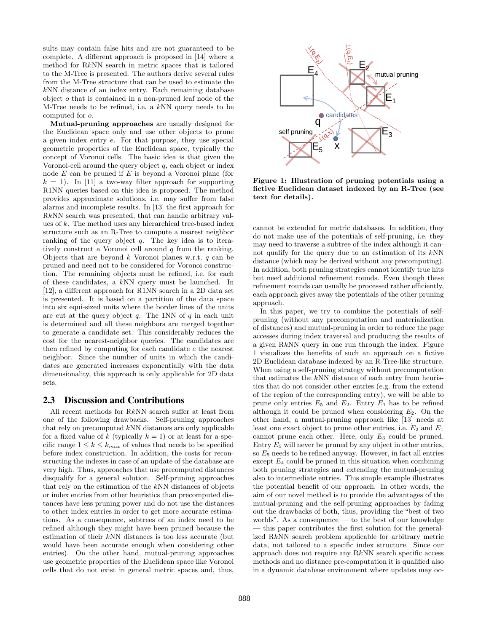sults may contain false hits and are not guaranteed to be complete. A different approach is proposed in [14] where a method for RkNN search in metric spaces that is tailored to the M-Tree is presented. The authors derive several rules from the M-Tree structure that can be used to estimate the kNN distance of an index entry. Each remaining database object o that is contained in a non-pruned leaf node of the M-Tree needs to be refined, i.e. a  $kNN$  query needs to be computed for o.

Mutual-pruning approaches are usually designed for the Euclidean space only and use other objects to prune a given index entry e. For that purpose, they use special geometric properties of the Euclidean space, typically the concept of Voronoi cells. The basic idea is that given the Voronoi-cell around the query object  $q$ , each object or index node  $E$  can be pruned if  $E$  is beyond a Voronoi plane (for  $k = 1$ ). In [11] a two-way filter approach for supporting R1NN queries based on this idea is proposed. The method provides approximate solutions, i.e. may suffer from false alarms and incomplete results. In [13] the first approach for RkNN search was presented, that can handle arbitrary values of k. The method uses any hierarchical tree-based index structure such as an R-Tree to compute a nearest neighbor ranking of the query object  $q$ . The key idea is to iteratively construct a Voronoi cell around  $q$  from the ranking. Objects that are beyond  $k$  Voronoi planes w.r.t.  $q$  can be pruned and need not to be considered for Voronoi construction. The remaining objects must be refined, i.e. for each of these candidates, a kNN query must be launched. In [12], a different approach for R1NN search in a 2D data set is presented. It is based on a partition of the data space into six equi-sized units where the border lines of the units are cut at the query object  $q$ . The 1NN of  $q$  in each unit is determined and all these neighbors are merged together to generate a candidate set. This considerably reduces the cost for the nearest-neighbor queries. The candidates are then refined by computing for each candidate c the nearest neighbor. Since the number of units in which the candidates are generated increases exponentially with the data dimensionality, this approach is only applicable for 2D data sets.

# 2.3 Discussion and Contributions

All recent methods for RkNN search suffer at least from one of the following drawbacks. Self-pruning approaches that rely on precomputed kNN distances are only applicable for a fixed value of k (typically  $k = 1$ ) or at least for a specific range  $1 \leq k \leq k_{max}$  of values that needs to be specified before index construction. In addition, the costs for reconstructing the indexes in case of an update of the database are very high. Thus, approaches that use precomputed distances disqualify for a general solution. Self-pruning approaches that rely on the estimation of the kNN distances of objects or index entries from other heuristics than precomputed distances have less pruning power and do not use the distances to other index entries in order to get more accurate estimations. As a consequence, subtrees of an index need to be refined although they might have been pruned because the estimation of their kNN distances is too less accurate (but would have been accurate enough when considering other entries). On the other hand, mutual-pruning approaches use geometric properties of the Euclidean space like Voronoi cells that do not exist in general metric spaces and, thus,



Figure 1: Illustration of pruning potentials using a fictive Euclidean dataset indexed by an R-Tree (see text for details).

cannot be extended for metric databases. In addition, they do not make use of the potentials of self-pruning, i.e. they may need to traverse a subtree of the index although it cannot qualify for the query due to an estimation of its kNN distance (which may be derived without any precomputing). In addition, both pruning strategies cannot identify true hits but need additional refinement rounds. Even though these refinement rounds can usually be processed rather efficiently, each approach gives away the potentials of the other pruning approach.

In this paper, we try to combine the potentials of selfpruning (without any precomputation and materialization of distances) and mutual-pruning in order to reduce the page accesses during index traversal and producing the results of a given RkNN query in one run through the index. Figure 1 visualizes the benefits of such an approach on a fictive 2D Euclidean database indexed by an R-Tree-like structure. When using a self-pruning strategy without precomputation that estimates the kNN distance of each entry from heuristics that do not consider other entries (e.g. from the extend of the region of the corresponding entry), we will be able to prune only entries  $E_5$  and  $E_2$ . Entry  $E_1$  has to be refined although it could be pruned when considering  $E_2$ . On the other hand, a mutual-pruning approach like [13] needs at least one exact object to prune other entries, i.e.  $E_2$  and  $E_1$ cannot prune each other. Here, only  $E_3$  could be pruned. Entry  $E_5$  will never be pruned by any object in other entries, so  $E_5$  needs to be refined anyway. However, in fact all entries except  $E_4$  could be pruned in this situation when combining both pruning strategies and extending the mutual-pruning also to intermediate entries. This simple example illustrates the potential benefit of our approach. In other words, the aim of our novel method is to provide the advantages of the mutual-pruning and the self-pruning approaches by fading out the drawbacks of both, thus, providing the "best of two worlds". As a consequence — to the best of our knowledge — this paper contributes the first solution for the generalized RkNN search problem applicable for arbitrary metric data, not tailored to a specific index structure. Since our approach does not require any RkNN search specific access methods and no distance pre-computation it is qualified also in a dynamic database environment where updates may oc-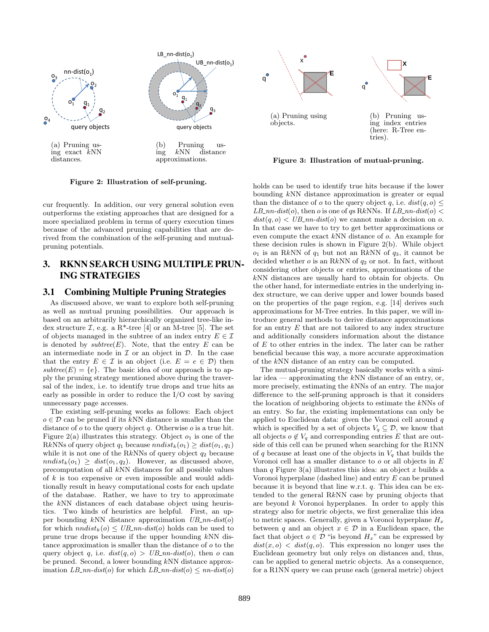

Figure 2: Illustration of self-pruning.

cur frequently. In addition, our very general solution even outperforms the existing approaches that are designed for a more specialized problem in terms of query execution times because of the advanced pruning capabilities that are derived from the combination of the self-pruning and mutualpruning potentials.

# 3. RKNN SEARCH USING MULTIPLE PRUN-ING STRATEGIES

#### 3.1 Combining Multiple Pruning Strategies

As discussed above, we want to explore both self-pruning as well as mutual pruning possibilities. Our approach is based on an arbitrarily hierarchically organized tree-like index structure  $\mathcal{I}$ , e.g. a R<sup>\*</sup>-tree [4] or an M-tree [5]. The set of objects managed in the subtree of an index entry  $E \in \mathcal{I}$ is denoted by  $subtree(E)$ . Note, that the entry E can be an intermediate node in  $\mathcal I$  or an object in  $\mathcal D$ . In the case that the entry  $E \in \mathcal{I}$  is an object (i.e.  $E = e \in \mathcal{D}$ ) then  $subtree(E) = \{e\}.$  The basic idea of our approach is to apply the pruning strategy mentioned above during the traversal of the index, i.e. to identify true drops and true hits as early as possible in order to reduce the I/O cost by saving unnecessary page accesses.

The existing self-pruning works as follows: Each object  $o \in \mathcal{D}$  can be pruned if its kNN distance is smaller than the distance of  $o$  to the query object  $q$ . Otherwise  $o$  is a true hit. Figure 2(a) illustrates this strategy. Object  $o_1$  is one of the RkNNs of query object  $q_1$  because  $nndist_k(o_1) \geq dist(o_1, q_1)$ while it is not one of the RkNNs of query object  $q_2$  because  $nndist_k(o_1) \geq dist(o_1, q_2)$ . However, as discussed above, precomputation of all kNN distances for all possible values of  $k$  is too expensive or even impossible and would additionally result in heavy computational costs for each update of the database. Rather, we have to try to approximate the kNN distances of each database object using heuristics. Two kinds of heuristics are helpful. First, an upper bounding kNN distance approximation  $UB\_nn\text{-}dist(o)$ for which  $nndist_k(o) \leq UB\_nn\text{-}dist(o)$  holds can be used to prune true drops because if the upper bounding kNN distance approximation is smaller than the distance of o to the query object q, i.e.  $dist(q, o) > UB_{n} - dist(o)$ , then o can be pruned. Second, a lower bounding kNN distance approximation  $LB_{\text{-}nn\text{-}}dist(o)$  for which  $LB_{\text{-}nn\text{-}}dist(o) \leq nn\text{-}dist(o)$ 



Figure 3: Illustration of mutual-pruning.

holds can be used to identify true hits because if the lower bounding kNN distance approximation is greater or equal than the distance of o to the query object q, i.e.  $dist(q, o) \leq$ LB\_nn-dist(o), then o is one of qs RkNNs. If  $LB_{\text{un}}$ -dist(o) <  $dist(q, o) < UB\_nn\text{-}dist(o)$  we cannot make a decision on o. In that case we have to try to get better approximations or even compute the exact kNN distance of o. An example for these decision rules is shown in Figure 2(b). While object  $o_1$  is an RkNN of  $q_1$  but not an RkNN of  $q_3$ , it cannot be decided whether  $o$  is an RkNN of  $q_2$  or not. In fact, without considering other objects or entries, approximations of the kNN distances are usually hard to obtain for objects. On the other hand, for intermediate entries in the underlying index structure, we can derive upper and lower bounds based on the properties of the page region, e.g. [14] derives such approximations for M-Tree entries. In this paper, we will introduce general methods to derive distance approximations for an entry  $E$  that are not tailored to any index structure and additionally considers information about the distance of E to other entries in the index. The later can be rather beneficial because this way, a more accurate approximation of the kNN distance of an entry can be computed.

The mutual-pruning strategy basically works with a simi- $\text{lar idea} \longrightarrow \text{approximating the } k\text{NN distance of an entry, or},$ more precisely, estimating the kNNs of an entry. The major difference to the self-pruning approach is that it considers the location of neighboring objects to estimate the kNNs of an entry. So far, the existing implementations can only be applied to Euclidean data: given the Voronoi cell around  $q$ which is specified by a set of objects  $V_q \subseteq \mathcal{D}$ , we know that all objects  $o \notin V_q$  and corresponding entries E that are outside of this cell can be pruned when searching for the R1NN of q because at least one of the objects in  $V_q$  that builds the Voronoi cell has a smaller distance to  $o$  or all objects in  $E$ than  $q$  Figure 3(a) illustrates this idea: an object x builds a Voronoi hyperplane (dashed line) and entry E can be pruned because it is beyond that line w.r.t. q. This idea can be extended to the general RkNN case by pruning objects that are beyond k Voronoi hyperplanes. In order to apply this strategy also for metric objects, we first generalize this idea to metric spaces. Generally, given a Voronoi hyperplane  $H_x$ between q and an object  $x \in \mathcal{D}$  in a Euclidean space, the fact that object  $o \in \mathcal{D}$  "is beyond  $H_x$ " can be expressed by  $dist(x, o) < dist(q, o)$ . This expression no longer uses the Euclidean geometry but only relys on distances and, thus, can be applied to general metric objects. As a consequence, for a R1NN query we can prune each (general metric) object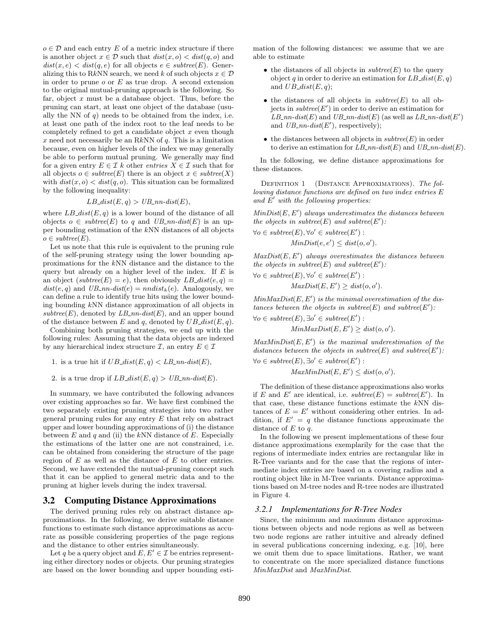$o \in \mathcal{D}$  and each entry E of a metric index structure if there is another object  $x \in \mathcal{D}$  such that  $dist(x, o) < dist(q, o)$  and  $dist(x, e) < dist(q, e)$  for all objects  $e \in subtree(E)$ . Generalizing this to RkNN search, we need k of such objects  $x \in \mathcal{D}$ in order to prune  $o$  or  $E$  as true drop. A second extension to the original mutual-pruning approach is the following. So far, object  $x$  must be a database object. Thus, before the pruning can start, at least one object of the database (usually the NN of  $q$ ) needs to be obtained from the index, i.e. at least one path of the index root to the leaf needs to be completely refined to get a candidate object  $x$  even though x need not necessarily be an RkNN of  $q$ . This is a limitation because, even on higher levels of the index we may generally be able to perform mutual pruning. We generally may find for a given entry  $E \in \mathcal{I}$  k other entries  $X \in \mathcal{I}$  such that for all objects  $o \in subtree(E)$  there is an object  $x \in subtree(X)$ with  $dist(x, o) < dist(q, o)$ . This situation can be formalized by the following inequality:

## $LB\_dist(E, q) > UB\_nn\_dist(E),$

where  $LB\_dist(E, q)$  is a lower bound of the distance of all objects  $o \in subtree(E)$  to q and  $UB\_nn\text{-}dist(E)$  is an upper bounding estimation of the kNN distances of all objects  $o \in subtree(E).$ 

Let us note that this rule is equivalent to the pruning rule of the self-pruning strategy using the lower bounding approximations for the kNN distance and the distance to the query but already on a higher level of the index. If  $E$  is an object (subtree(E) = e), then obviously  $LB\_dist(e, q)$  =  $dist(e, q)$  and  $UB\_nn\text{-}dist(e) =$  nndist<sub>k</sub> $(e)$ . Analogously, we can define a rule to identify true hits using the lower bounding bounding kNN distance approximation of all objects in subtree(E), denoted by  $LB\_nn\text{-}dist(E)$ , and an upper bound of the distance between E and q, denoted by  $UB\_dist(E, q)$ .

Combining both pruning strategies, we end up with the following rules: Assuming that the data objects are indexed by any hierarchical index structure  $\mathcal{I}$ , an entry  $E \in \mathcal{I}$ 

1. is a true hit if  $UB\_dist(E, q) < LB\_nn\_dist(E)$ ,

2. is a true drop if  $LB\_dist(E, q) > UB\_nn\_dist(E)$ .

In summary, we have contributed the following advances over existing approaches so far. We have first combined the two separately existing pruning strategies into two rather general pruning rules for any entry  $E$  that rely on abstract upper and lower bounding approximations of (i) the distance between  $E$  and  $q$  and (ii) the kNN distance of  $E$ . Especially the estimations of the latter one are not constrained, i.e. can be obtained from considering the structure of the page region of  $E$  as well as the distance of  $E$  to other entries. Second, we have extended the mutual-pruning concept such that it can be applied to general metric data and to the pruning at higher levels during the index traversal.

#### 3.2 Computing Distance Approximations

The derived pruning rules rely on abstract distance approximations. In the following, we derive suitable distance functions to estimate such distance approximations as accurate as possible considering properties of the page regions and the distance to other entries simultaneously.

Let q be a query object and  $E, E' \in \mathcal{I}$  be entries representing either directory nodes or objects. Our pruning strategies are based on the lower bounding and upper bounding estimation of the following distances: we assume that we are able to estimate

- the distances of all objects in  $subtree(E)$  to the query object q in order to derive an estimation for  $LB\_dist(E, q)$ and  $UB\_dist(E, q);$
- the distances of all objects in  $subtree(E)$  to all objects in  $subtree(E')$  in order to derive an estimation for  $LB\_nn\text{-}dist(E)$  and  $UB\_nn\text{-}dist(E)$  (as well as  $LB\_nn\text{-}dist(E')$ ) and  $UB\_nn\text{-}dist(E'),$  respectively);
- the distances between all objects in  $subtree(E)$  in order to derive an estimation for  $LB_{n} = dist(E)$  and  $UB_{n} = dist(E)$ .

In the following, we define distance approximations for these distances.

DEFINITION 1 (DISTANCE APPROXIMATIONS). The following distance functions are defined on two index entries E and  $E'$  with the following properties:

 $MinDist(E, E')$  always underestimates the distances between the objects in subtree(E) and subtree(E'):

 $\forall o \in subtree(E), \forall o' \in subtree(E')$ :

$$
MinDist(e, e') \leq dist(o, o').
$$

 $MaxDist(E, E')$  always overestimates the distances between the objects in subtree(E) and subtree(E'):

 $\forall o \in subtree(E), \forall o' \in subtree(E')$ :  $MaxDist(E, E') \geq dist(o, o').$ 

 $MinMaxDist(E, E')$  is the minimal overestimation of the distances between the objects in subtree(E) and subtree(E'):

 $\forall o \in subtree(E), \exists o' \in subtree(E')$ :

 $MinMaxDist(E, E') \geq dist(o, o').$ 

 $MaxMinDist(E, E')$  is the maximal underestimation of the distances between the objects in subtree(E) and subtree(E'):  $\forall o \in subtree(E), \exists o' \in subtree(E')$ :

$$
MaxMinDist(E, E') \leq dist(o, o').
$$

The definition of these distance approximations also works if E and E' are identical, i.e.  $subtree(E) = subtree(E')$ . In that case, these distance functions estimate the kNN distances of  $E = E'$  without considering other entries. In addition, if  $E' = q$  the distance functions approximate the distance of  $E$  to  $q$ .

In the following we present implementations of these four distance approximations exemplarily for the case that the regions of intermediate index entries are rectangular like in R-Tree variants and for the case that the regions of intermediate index entries are based on a covering radius and a routing object like in M-Tree variants. Distance approximations based on M-tree nodes and R-tree nodes are illustrated in Figure 4.

#### *3.2.1 Implementations for R-Tree Nodes*

Since, the minimum and maximum distance approximations between objects and node regions as well as between two node regions are rather intuitive and already defined in several publications concerning indexing, e.g. [10], here we omit them due to space limitations. Rather, we want to concentrate on the more specialized distance functions MinMaxDist and MaxMinDist.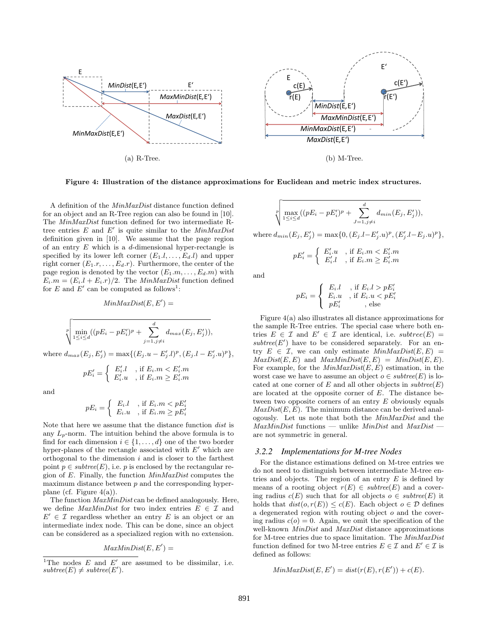

Figure 4: Illustration of the distance approximations for Euclidean and metric index structures.

A definition of the MinMaxDist distance function defined for an object and an R-Tree region can also be found in [10]. The MinMaxDist function defined for two intermediate Rtree entries  $E$  and  $E'$  is quite similar to the  $MinMaxDist$ definition given in [10]. We assume that the page region of an entry  $E$  which is a  $d$ -dimensional hyper-rectangle is specified by its lower left corner  $(E_1, l, \ldots, E_d, l)$  and upper right corner  $(E_1.r, \ldots, E_d.r)$ . Furthermore, the center of the page region is denoted by the vector  $(E_1.m, \ldots, E_d.m)$  with  $E_i.m = (E_i.l + E_i.r)/2$ . The *MinMaxDist* function defined for E and  $E'$  can be computed as follows<sup>1</sup>:

$$
MinMaxDist(E, E') =
$$
\n
$$
\sqrt[n]{\min_{1 \le i \le d} ((pE_i - pE_i')^p + \sum_{j=1, j \ne i}^d d_{max}(E_j, E_j'))},
$$
\nwhere 
$$
d_{max}(E_j, E_j') = \max\{(E_j.u - E_j'.l)^p, (E_j.l - E_j'.u)^p\},
$$
\n
$$
pE_i' = \begin{cases} E_i'.l, & \text{if } E_i.m < E_i'.m \\ E_i'.u, & \text{if } E_i.m \ge E_i'.m \end{cases}
$$
\nand

and

$$
pE_i = \left\{ \begin{array}{ll} E_i.l & , \text{ if } E_i.m < pE_i' \\ E_i.u & , \text{ if } E_i.m \geq pE_i' \end{array} \right.
$$

Note that here we assume that the distance function dist is any  $L_p$ -norm. The intuition behind the above formula is to find for each dimension  $i \in \{1, \ldots, d\}$  one of the two border hyper-planes of the rectangle associated with  $E'$  which are orthogonal to the dimension i and is closer to the farthest point  $p \in subtree(E)$ , i.e. p is enclosed by the rectangular region of E. Finally, the function MinMaxDist computes the maximum distance between  $p$  and the corresponding hyperplane (cf. Figure  $4(a)$ ).

The function MaxMinDist can be defined analogously. Here, we define  $MaxMinDist$  for two index entries  $E \in \mathcal{I}$  and  $E' \in \mathcal{I}$  regardless whether an entry E is an object or an intermediate index node. This can be done, since an object can be considered as a specialized region with no extension.

$$
MaxMinDist(E, E') =
$$

$$
\sqrt[n]{\max_{1 \le i \le d} ((pE_i - pE'_i)^p + \sum_{J=1, j \ne i}^d d_{min}(E_j, E'_j)),}
$$
  
where  $d_{min}(E_j, E'_j) = \max\{0, (E_j.l - E'_j.u)^p, (E'_j.l - E_j.u)^p\},$   

$$
pE'_i = \begin{cases} E'_i.u, & \text{if } E_i.m < E'_i.m\\ E'_i.l, & \text{if } E_i.m \ge E'_i.m \end{cases}
$$

and

$$
pE_i = \begin{cases} E_i.l & , \text{ if } E_i.l > pE'_i \\ E_i.u & , \text{ if } E_i.u < pE'_i \\ pE'_i & , \text{ else} \end{cases}
$$

Figure 4(a) also illustrates all distance approximations for the sample R-Tree entries. The special case where both entries  $E \in \mathcal{I}$  and  $E' \in \mathcal{I}$  are identical, i.e. subtree(E) =  $subtree(E')$  have to be considered separately. For an entry  $E \in \mathcal{I}$ , we can only estimate  $MinMaxDist(E, E)$  =  $MaxDist(E, E)$  and  $MaxMinDist(E, E) = MinDist(E, E)$ . For example, for the  $MinMaxDist(E, E)$  estimation, in the worst case we have to assume an object  $o \in subtree(E)$  is located at one corner of E and all other objects in  $subtree(E)$ are located at the opposite corner of E. The distance between two opposite corners of an entry E obviously equals  $MaxDist(E, E)$ . The minimum distance can be derived analogously. Let us note that both the MinMaxDist and the  $MaxMinDist$  functions — unlike  $MinDist$  and  $MaxDist$ are not symmetric in general.

# *3.2.2 Implementations for M-tree Nodes*

For the distance estimations defined on M-tree entries we do not need to distinguish between intermediate M-tree entries and objects. The region of an entry  $E$  is defined by means of a rooting object  $r(E) \in subtree(E)$  and a covering radius  $c(E)$  such that for all objects  $o \in subtree(E)$  it holds that  $dist(o, r(E)) \leq c(E)$ . Each object  $o \in \mathcal{D}$  defines a degenerated region with routing object o and the covering radius  $c(o) = 0$ . Again, we omit the specification of the well-known *MinDist* and *MaxDist* distance approximations for M-tree entries due to space limitation. The MinMaxDist function defined for two M-tree entries  $E \in \mathcal{I}$  and  $E' \in \mathcal{I}$  is defined as follows:

$$
MinMaxDist(E, E') = dist(r(E), r(E')) + c(E).
$$

<sup>&</sup>lt;sup>1</sup>The nodes  $E$  and  $E'$  are assumed to be dissimilar, i.e.  $subtree(E) \neq subtree(E').$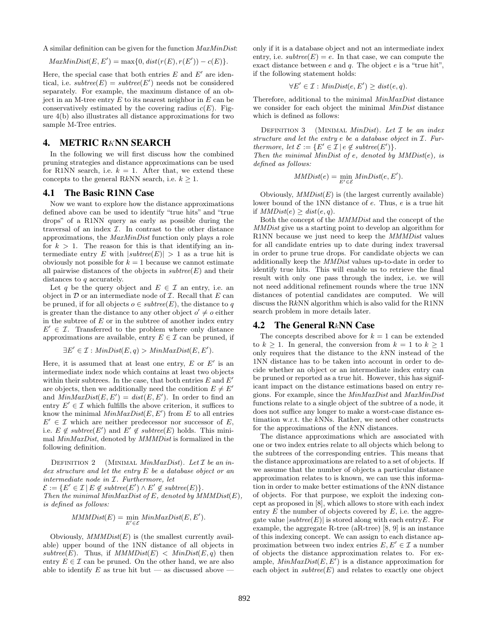A similar definition can be given for the function MaxMinDist:

$$
MaxMinDist(E, E') = \max\{0, dist(r(E), r(E')) - c(E)\}.
$$

Here, the special case that both entries  $E$  and  $E'$  are identical, i.e.  $subtree(E) = subtree(E')$  needs not be considered separately. For example, the maximum distance of an object in an M-tree entry  $E$  to its nearest neighbor in  $E$  can be conservatively estimated by the covering radius  $c(E)$ . Figure 4(b) also illustrates all distance approximations for two sample M-Tree entries.

# 4. METRIC RKNN SEARCH

In the following we will first discuss how the combined pruning strategies and distance approximations can be used for R1NN search, i.e.  $k = 1$ . After that, we extend these concepts to the general RkNN search, i.e.  $k \geq 1$ .

## 4.1 The Basic R1NN Case

Now we want to explore how the distance approximations defined above can be used to identify "true hits" and "true drops" of a R1NN query as early as possible during the traversal of an index  $I$ . In contrast to the other distance approximations, the MaxMinDist function only plays a role for  $k > 1$ . The reason for this is that identifying an intermediate entry E with  $|subtree(E)| > 1$  as a true hit is obviously not possible for  $k = 1$  because we cannot estimate all pairwise distances of the objects in  $subtree(E)$  and their distances to q accurately.

Let q be the query object and  $E \in \mathcal{I}$  an entry, i.e. an object in  $D$  or an intermediate node of  $\mathcal I$ . Recall that  $E$  can be pruned, if for all objects  $o \in subtree(E)$ , the distance to q is greater than the distance to any other object  $o' \neq o$  either in the subtree of  $E$  or in the subtree of another index entry  $E' \in \mathcal{I}$ . Transferred to the problem where only distance approximations are available, entry  $E \in \mathcal{I}$  can be pruned, if

$$
\exists E' \in \mathcal{I} : MinDist(E, q) > MinMaxDist(E, E').
$$

Here, it is assumed that at least one entry,  $E$  or  $E'$  is an intermediate index node which contains at least two objects within their subtrees. In the case, that both entries  $E$  and  $E'$ are objects, then we additionally need the condition  $E \neq E'$ and  $MinMaxDist(E, E') = dist(E, E')$ . In order to find an entry  $E' \in \mathcal{I}$  which fulfills the above criterion, it suffices to know the minimal  $MinMaxDist(E, E')$  from E to all entries  $E' \in \mathcal{I}$  which are neither predecessor nor successor of E, i.e.  $E \notin subtree(E')$  and  $E' \notin subtree(E)$  holds. This minimal MinMaxDist, denoted by MMMDist is formalized in the following definition.

DEFINITION 2 (MINIMAL *MinMaxDist*). Let  $\mathcal I$  be an index structure and let the entry E be a database object or an intermediate node in I. Furthermore, let

 $\mathcal{E} := \{ E' \in \mathcal{I} \mid E \notin subtree(E') \land E' \notin subtree(E) \}.$ 

Then the minimal MinMaxDist of E, denoted by  $MMDist(E)$ , is defined as follows:

$$
MMDist(E) = \min_{E' \in \mathcal{E}} MinMaxDist(E, E').
$$

Obviously,  $MMDist(E)$  is (the smallest currently available) upper bound of the 1NN distance of all objects in  $subtree(E)$ . Thus, if  $MMDist(E) < MinDist(E, q)$  then entry  $E \in \mathcal{I}$  can be pruned. On the other hand, we are also able to identify  $E$  as true hit but — as discussed above —

only if it is a database object and not an intermediate index entry, i.e.  $subtree(E) = e$ . In that case, we can compute the exact distance between  $e$  and  $q$ . The object  $e$  is a "true hit", if the following statement holds:

$$
\forall E' \in \mathcal{I} : MinDist(e, E') \ge dist(e, q).
$$

Therefore, additional to the minimal MinMaxDist distance we consider for each object the minimal MinDist distance which is defined as follows:

DEFINITION 3 (MINIMAL *MinDist*). Let  $I$  be an index structure and let the entry  $e$  be a database object in  $I$ . Furthermore, let  $\mathcal{E} := \{ E' \in \mathcal{I} \mid e \notin subtree(E') \}.$ Then the minimal MinDist of  $e$ , denoted by  $MMDist(e)$ , is

defined as follows:

$$
MMDist(e) = \min_{E' \in \mathcal{E}} MinDist(e, E').
$$

Obviously,  $MMDist(E)$  is (the largest currently available) lower bound of the 1NN distance of e. Thus, e is a true hit if  $MMDist(e) \geq dist(e, q)$ .

Both the concept of the MMMDist and the concept of the MMDist give us a starting point to develop an algorithm for R1NN because we just need to keep the MMMDist values for all candidate entries up to date during index traversal in order to prune true drops. For candidate objects we can additionally keep the MMDist values up-to-date in order to identify true hits. This will enable us to retrieve the final result with only one pass through the index, i.e. we will not need additional refinement rounds where the true 1NN distances of potential candidates are computed. We will discuss the R $kNN$  algorithm which is also valid for the R1NN search problem in more details later.

#### 4.2 The General  $R_kNN$  Case

The concepts described above for  $k = 1$  can be extended to  $k > 1$ . In general, the conversion from  $k = 1$  to  $k > 1$ only requires that the distance to the kNN instead of the 1NN distance has to be taken into account in order to decide whether an object or an intermediate index entry can be pruned or reported as a true hit. However, this has significant impact on the distance estimations based on entry regions. For example, since the MinMaxDist and MaxMinDist functions relate to a single object of the subtree of a node, it does not suffice any longer to make a worst-case distance estimation w.r.t. the kNNs. Rather, we need other constructs for the approximations of the kNN distances.

The distance approximations which are associated with one or two index entries relate to all objects which belong to the subtrees of the corresponding entries. This means that the distance approximations are related to a set of objects. If we assume that the number of objects a particular distance approximation relates to is known, we can use this information in order to make better estimations of the kNN distance of objects. For that purpose, we exploit the indexing concept as proposed in [8], which allows to store with each index entry  $E$  the number of objects covered by  $E$ , i.e. the aggregate value  $|subtree(E)|$  is stored along with each entry E. For example, the aggregate R-tree (aR-tree) [8, 9] is an instance of this indexing concept. We can assign to each distance approximation between two index entries  $E, E' \in \mathcal{I}$  a number of objects the distance approximation relates to. For example,  $MinMaxDist(E, E')$  is a distance approximation for each object in  $subtree(E)$  and relates to exactly one object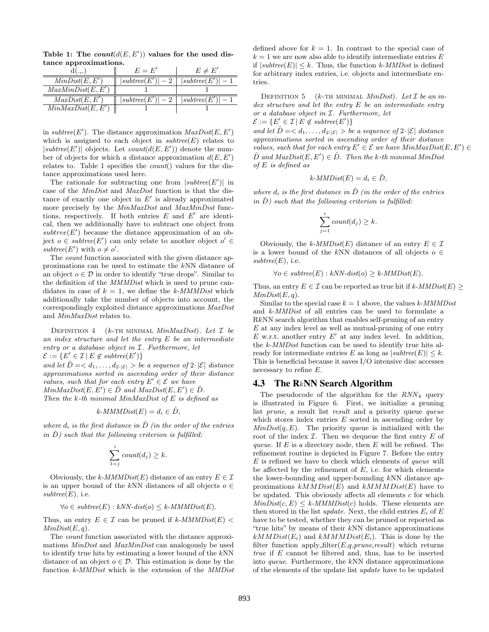Table 1: The  $count(d(E, E'))$  values for the used distance approximations.

| $Q($              | $E = E'$          | $E \neq E'$       |
|-------------------|-------------------|-------------------|
| MinDist(E, E')    | $ subtree(E') -2$ | $ subtree(E') -1$ |
| MaxMinDist(E, E') |                   |                   |
| MaxDist(E, E')    | $ subtree(E') -2$ | $ subtree(E') -1$ |
| MinMaxDist(E, E') |                   |                   |

in subtree(E'). The distance approximation  $MaxDist(E, E')$ which is assigned to each object in  $subtree(E)$  relates to  $|subtree(E')|$  objects. Let  $count(d(E, E'))$  denote the number of objects for which a distance approximation  $d(E, E')$ relates to. Table 1 specifies the count() values for the distance approximations used here.

The rationale for subtracting one from  $|subtree(E')|$  in case of the MinDist and MaxDist function is that the distance of exactly one object in  $E'$  is already approximated more precisely by the  $MinMaxDist$  and  $MaxMinDist$  functions, respectively. If both entries  $E$  and  $E'$  are identical, then we additionally have to subtract one object from  $subtree(E')$  because the distance approximation of an object  $o \in subtree(E')$  can only relate to another object  $o' \in$ subtree(E') with  $o \neq o'$ .

The count function associated with the given distance approximations can be used to estimate the kNN distance of an object  $o \in \mathcal{D}$  in order to identify "true drops". Similar to the definition of the MMMDist which is used to prune candidates in case of  $k = 1$ , we define the k-MMMDist which additionally take the number of objects into account, the correspondingly exploited distance approximations MaxDist and MinMaxDist relates to.

DEFINITION 4 ( $k$ -th minimal *MinMaxDist*). Let  $\mathcal I$  be an index structure and let the entry  $E$  be an intermediate entry or a database object in I. Furthermore, let  $\mathcal{E} := \{ E' \in \mathcal{I} \mid E \notin subtree(E') \}$ and let  $\hat{D} = \langle d_1, \ldots, d_{2 \cdot |\mathcal{E}|} \rangle$  be a sequence of  $2 \cdot |\mathcal{E}|$  distance

approximations sorted in ascending order of their distance values, such that for each entry  $E' \in \mathcal{E}$  we have  $MinMaxDist(E, E') \in \hat{D}$  and  $MaxDist(E, E') \in \hat{D}$ . Then the  $k$ -th minimal MinMaxDist of  $E$  is defined as

$$
k\text{-}MMDist(E) = d_i \in \hat{D},
$$

where  $d_i$  is the first distance in  $\hat{D}$  (in the order of the entries in  $\hat{D}$ ) such that the following criterion is fulfilled:

$$
\sum_{1=j}^{i} count(d_j) \geq k.
$$

Obviously, the k-MMMDist(E) distance of an entry  $E \in \mathcal{I}$ is an upper bound of the kNN distances of all objects  $o \in$  $subtree(E),$  i.e.

$$
\forall o \in subtree(E): kNN\text{-}dist(o) \leq k\text{-}MMDist(E).
$$

Thus, an entry  $E \in \mathcal{I}$  can be pruned if k-MMMDist $(E)$  <  $MinDist(E, q)$ .

The count function associated with the distance approximations MinDist and MaxMinDist can analogously be used to identify true hits by estimating a lower bound of the kNN distance of an object  $o \in \mathcal{D}$ . This estimation is done by the function k-MMDist which is the extension of the MMDist defined above for  $k = 1$ . In contrast to the special case of  $k = 1$  we are now also able to identify intermediate entries E if  $|subtree(E)| \leq k$ . Thus, the function k-MMDist is defined for arbitrary index entries, i.e. objects and intermediate entries.

DEFINITION 5 ( $k$ -TH MINIMAL *MinDist*). Let  $\mathcal I$  be an in $dex$  structure and let the entry  $E$  be an intermediate entry or a database object in I. Furthermore, let  $\mathcal{E} := \{ E' \in \mathcal{I} \mid E \notin subtree(E') \}$ 

and let  $\hat{D} = \langle d_1, \ldots, d_{2 \cdot |\mathcal{E}|} \rangle$  be a sequence of  $2 \cdot |\mathcal{E}|$  distance approximations sorted in ascending order of their distance values, such that for each entry  $E' \in \mathcal{E}$  we have  $MinMaxDist(E, E') \in$  $\hat{D}$  and  $MaxDist(E, E') \in \hat{D}$ . Then the k-th minimal MinDist of E is defined as

$$
k\text{-}MMDist(E) = d_i \in \hat{D},
$$

where  $d_i$  is the first distance in  $\hat{D}$  (in the order of the entries in  $\hat{D}$ ) such that the following criterion is fulfilled:

$$
\sum_{j=1}^{i} count(d_j) \geq k.
$$

Obviously, the k-MMDist(E) distance of an entry  $E \in \mathcal{I}$ is a lower bound of the kNN distances of all objects  $o \in$  $subtree(E)$ , i.e.

$$
\forall o \in subtree(E): kNN\text{-}dist(o) \geq k\text{-}MMDist(E).
$$

Thus, an entry  $E \in \mathcal{I}$  can be reported as true hit if k-MMDist $(E) \geq$  $MinDist(E, q)$ .

Similar to the special case  $k = 1$  above, the values k-MMMDist and k-MMDist of all entries can be used to formulate a RkNN search algorithm that enables self-pruning of an entry  $E$  at any index level as well as mutual-pruning of one entry  $E$  w.r.t. another entry  $E'$  at any index level. In addition, the k-MMDist function can be used to identify true hits already for intermediate entries E as long as  $|subtree(E)| \leq k$ . This is beneficial because it saves I/O intensive disc accesses necessary to refine E.

## 4.3 The  $R_kNN$  Search Algorithm

The pseudocode of the algorithm for the  $RNN_k$  query is illustrated in Figure 6. First, we initialize a pruning list prune, a result list result and a priority queue queue which stores index entries  $E$  sorted in ascending order by  $MinDist(q, E)$ . The priority queue is initialized with the root of the index  $\mathcal I$ . Then we dequeue the first entry  $E$  of queue. If  $E$  is a directory node, then  $E$  will be refined. The refinement routine is depicted in Figure 7. Before the entry  $E$  is refined we have to check which elements of queue will be affected by the refinement of  $E$ , i.e. for which elements the lower-bounding and upper-bounding kNN distance approximations  $kMMDist(E)$  and  $kMMDist(E)$  have to be updated. This obviously affects all elements  $c$  for which  $MinDist(c, E) \leq k \cdot MMDist(c)$  holds. These elements are then stored in the list *update*. Next, the child entries  $E_i$  of E have to be tested, whether they can be pruned or reported as "true hits" by means of their kNN distance approximations  $kMMDist(E_i)$  and  $kMMDist(E_i)$ . This is done by the filter function apply  $filter(E,q,prune,result)$  which returns true if E cannot be filtered and, thus, has to be inserted into queue. Furthermore, the kNN distance approximations of the elements of the update list update have to be updated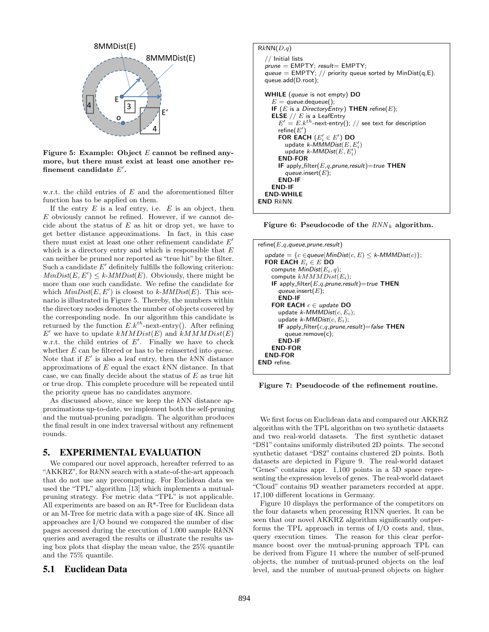

Figure 5: Example: Object  $E$  cannot be refined anymore, but there must exist at least one another refinement candidate  $E'$ .

w.r.t. the child entries of  $E$  and the aforementioned filter function has to be applied on them.

If the entry  $E$  is a leaf entry, i.e.  $E$  is an object, then  $E$  obviously cannot be refined. However, if we cannot decide about the status of  $E$  as hit or drop yet, we have to get better distance approximations. In fact, in this case there must exist at least one other refinement candidate  $E'$ which is a directory entry and which is responsible that  $E$ can neither be pruned nor reported as "true hit" by the filter. Such a candidate  $E'$  definitely fulfills the following criterion:  $MinDist(E, E') \leq k \cdot MMDist(E)$ . Obviously, there might be more than one such candidate. We refine the candidate for which  $MinDist(E, E')$  is closest to  $k\text{-}MMDist(E)$ . This scenario is illustrated in Figure 5. Thereby, the numbers within the directory nodes denotes the number of objects covered by the corresponding node. In our algorithm this candidate is returned by the function  $E.k^{th}$ -next-entry(). After refining E' we have to update  $kMMDist(E)$  and  $kMMDist(E)$ w.r.t. the child entries of  $E'$ . Finally we have to check whether  $E$  can be filtered or has to be reinserted into queue. Note that if  $E'$  is also a leaf entry, then the  $kNN$  distance approximations of  $E$  equal the exact  $kNN$  distance. In that case, we can finally decide about the status of E as true hit or true drop. This complete procedure will be repeated until the priority queue has no candidates anymore.

As discussed above, since we keep the kNN distance approximations up-to-date, we implement both the self-pruning and the mutual-pruning paradigm. The algorithm produces the final result in one index traversal without any refinement rounds.

# 5. EXPERIMENTAL EVALUATION

We compared our novel approach, hereafter referred to as "AKKRZ", for  $RkNN$  search with a state-of-the-art approach that do not use any precomputing. For Euclidean data we used the "TPL" algorithm [13] which implements a mutualpruning strategy. For metric data "TPL" is not applicable. All experiments are based on an R\*-Tree for Euclidean data or an M-Tree for metric data with a page size of 4K. Since all approaches are I/O bound we compared the number of disc pages accessed during the execution of 1,000 sample RkNN queries and averaged the results or illustrate the results using box plots that display the mean value, the 25% quantile and the 75% quantile.

## 5.1 Euclidean Data

```
RkNN(D,q)// Initial lists
  prune = EMPTY; result= EMPTY;
  queue = EMPTY; // priority queue sorted by MinDist(q,E).
  queue.add(D.root);
  WHILE (queue is not empty) DO
    E = queue.dequeue();
    IF (E is a Directory Entry) THEN refine(E);
    ELSE // E is a LeafEntry
       E'=E.k^{th}-next-entry(); // see text for description
       refine(E^{\prime})FOR EACH (E_i' \in E') DO
         update k-\hat{M} \hat{M} \hat{M} \hat{D}ist(E, E'_i)update k-MMDist(E, E'_i)END-FOR
       IF apply_filter(E,q,prune,result)=true THEN
         queue.insert(E);
       END-IF
    END-IF
  END-WHILE
END RkNN.
```
Figure 6: Pseudocode of the  $RNN_k$  algorithm.



Figure 7: Pseudocode of the refinement routine.

We first focus on Euclidean data and compared our AKKRZ algorithm with the TPL algorithm on two synthetic datasets and two real-world datasets. The first synthetic dataset "DS1" contains uniformly distributed 2D points. The second synthetic dataset "DS2" contains clustered 2D points. Both datasets are depicted in Figure 9. The real-world dataset "Genes" contains appr. 1,100 points in a 5D space representing the expression levels of genes. The real-world dataset "Cloud" contains 9D weather parameters recorded at appr. 17,100 different locations in Germany.

Figure 10 displays the performance of the competitors on the four datasets when processing R1NN queries. It can be seen that our novel AKKRZ algorithm significantly outperforms the TPL approach in terms of I/O costs and, thus, query execution times. The reason for this clear performance boost over the mutual-pruning approach TPL can be derived from Figure 11 where the number of self-pruned objects, the number of mutual-pruned objects on the leaf level, and the number of mutual-pruned objects on higher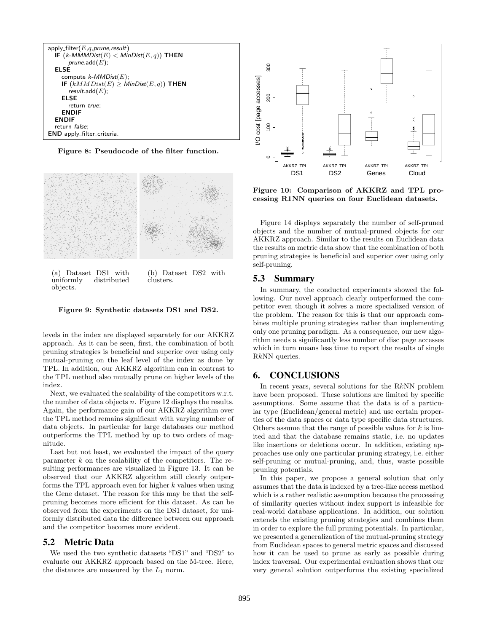```
apply_filter(E,q,prune, result)
  IF (k-MMMDist(E) < MinDist(E, q)) THEN
      prune.add(E);
  ELSE
    compute k-MMDist(E);
    IF (kMMDist(E) \geq MinDist(E, q)) THEN
       result.add(E);
    ELSE
      return true;
    ENDIF
  ENDIF
  return false;
END apply_filter_criteria.
```
Figure 8: Pseudocode of the filter function.



| (a) Dataset DS1 with |             | (b) Dataset DS2 with |  |
|----------------------|-------------|----------------------|--|
| uniformly            | distributed | clusters.            |  |
| objects.             |             |                      |  |

Figure 9: Synthetic datasets DS1 and DS2.

levels in the index are displayed separately for our AKKRZ approach. As it can be seen, first, the combination of both pruning strategies is beneficial and superior over using only mutual-pruning on the leaf level of the index as done by TPL. In addition, our AKKRZ algorithm can in contrast to the TPL method also mutually prune on higher levels of the index.

Next, we evaluated the scalability of the competitors w.r.t. the number of data objects  $n$ . Figure 12 displays the results. Again, the performance gain of our AKKRZ algorithm over the TPL method remains significant with varying number of data objects. In particular for large databases our method outperforms the TPL method by up to two orders of magnitude.

Last but not least, we evaluated the impact of the query parameter  $k$  on the scalability of the competitors. The resulting performances are visualized in Figure 13. It can be observed that our AKKRZ algorithm still clearly outperforms the TPL approach even for higher  $k$  values when using the Gene dataset. The reason for this may be that the selfpruning becomes more efficient for this dataset. As can be observed from the experiments on the DS1 dataset, for uniformly distributed data the difference between our approach and the competitor becomes more evident.

## 5.2 Metric Data

We used the two synthetic datasets "DS1" and "DS2" to evaluate our AKKRZ approach based on the M-tree. Here, the distances are measured by the  $L_1$  norm.



Figure 10: Comparison of AKKRZ and TPL processing R1NN queries on four Euclidean datasets.

Figure 14 displays separately the number of self-pruned objects and the number of mutual-pruned objects for our AKKRZ approach. Similar to the results on Euclidean data the results on metric data show that the combination of both pruning strategies is beneficial and superior over using only self-pruning.

## 5.3 Summary

In summary, the conducted experiments showed the following. Our novel approach clearly outperformed the competitor even though it solves a more specialized version of the problem. The reason for this is that our approach combines multiple pruning strategies rather than implementing only one pruning paradigm. As a consequence, our new algorithm needs a significantly less number of disc page accesses which in turn means less time to report the results of single RkNN queries.

# 6. CONCLUSIONS

In recent years, several solutions for the RkNN problem have been proposed. These solutions are limited by specific assumptions. Some assume that the data is of a particular type (Euclidean/general metric) and use certain properties of the data spaces or data type specific data structures. Others assume that the range of possible values for  $k$  is limited and that the database remains static, i.e. no updates like insertions or deletions occur. In addition, existing approaches use only one particular pruning strategy, i.e. either self-pruning or mutual-pruning, and, thus, waste possible pruning potentials.

In this paper, we propose a general solution that only assumes that the data is indexed by a tree-like access method which is a rather realistic assumption because the processing of similarity queries without index support is infeasible for real-world database applications. In addition, our solution extends the existing pruning strategies and combines them in order to explore the full pruning potentials. In particular, we presented a generalization of the mutual-pruning strategy from Euclidean spaces to general metric spaces and discussed how it can be used to prune as early as possible during index traversal. Our experimental evaluation shows that our very general solution outperforms the existing specialized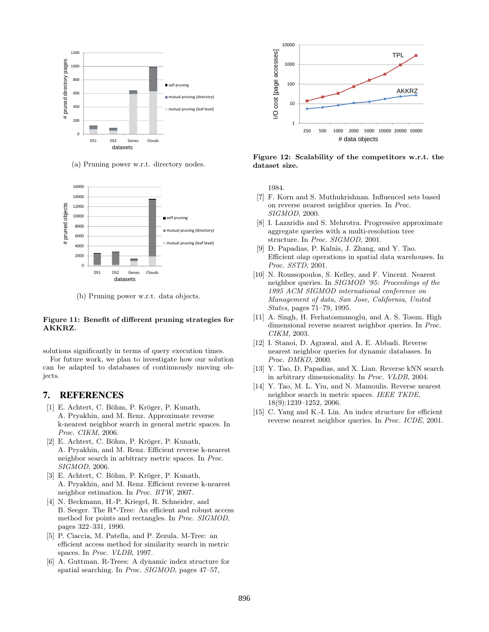

(a) Pruning power w.r.t. directory nodes.



(b) Pruning power w.r.t. data objects.

## Figure 11: Benefit of different pruning strategies for AKKRZ.

solutions significantly in terms of query execution times.

For future work, we plan to investigate how our solution can be adapted to databases of continuously moving objects.

# 7. REFERENCES

- [1] E. Achtert, C. Böhm, P. Kröger, P. Kunath, A. Pryakhin, and M. Renz. Approximate reverse k-nearest neighbor search in general metric spaces. In Proc. CIKM, 2006.
- [2] E. Achtert, C. Böhm, P. Kröger, P. Kunath, A. Pryakhin, and M. Renz. Efficient reverse k-nearest neighbor search in arbitrary metric spaces. In Proc. SIGMOD, 2006.
- [3] E. Achtert, C. Böhm, P. Kröger, P. Kunath, A. Pryakhin, and M. Renz. Efficient reverse k-nearest neighbor estimation. In Proc. BTW, 2007.
- [4] N. Beckmann, H.-P. Kriegel, R. Schneider, and B. Seeger. The R\*-Tree: An efficient and robust access method for points and rectangles. In Proc. SIGMOD, pages 322–331, 1990.
- [5] P. Ciaccia, M. Patella, and P. Zezula. M-Tree: an efficient access method for similarity search in metric spaces. In Proc. VLDB, 1997.
- [6] A. Guttman. R-Trees: A dynamic index structure for spatial searching. In Proc. SIGMOD, pages 47–57,



Figure 12: Scalability of the competitors w.r.t. the dataset size.

1984.

- [7] F. Korn and S. Muthukrishnan. Influenced sets based on reverse nearest neighbor queries. In Proc. SIGMOD, 2000.
- [8] I. Lazaridis and S. Mehrotra. Progressive approximate aggregate queries with a multi-resolution tree structure. In Proc. SIGMOD, 2001.
- [9] D. Papadias, P. Kalnis, J. Zhang, and Y. Tao. Efficient olap operations in spatial data warehouses. In Proc. SSTD, 2001.
- [10] N. Roussopoulos, S. Kelley, and F. Vincent. Nearest neighbor queries. In SIGMOD '95: Proceedings of the 1995 ACM SIGMOD international conference on Management of data, San Jose, California, United States, pages 71–79, 1995.
- [11] A. Singh, H. Ferhatosmanoglu, and A. S. Tosun. High dimensional reverse nearest neighbor queries. In Proc. CIKM, 2003.
- [12] I. Stanoi, D. Agrawal, and A. E. Abbadi. Reverse nearest neighbor queries for dynamic databases. In Proc. DMKD, 2000.
- [13] Y. Tao, D. Papadias, and X. Lian. Reverse kNN search in arbitrary dimensionality. In Proc. VLDB, 2004.
- [14] Y. Tao, M. L. Yiu, and N. Mamoulis. Reverse nearest neighbor search in metric spaces. IEEE TKDE, 18(9):1239–1252, 2006.
- [15] C. Yang and K.-I. Lin. An index structure for efficient reverse nearest neighbor queries. In Proc. ICDE, 2001.